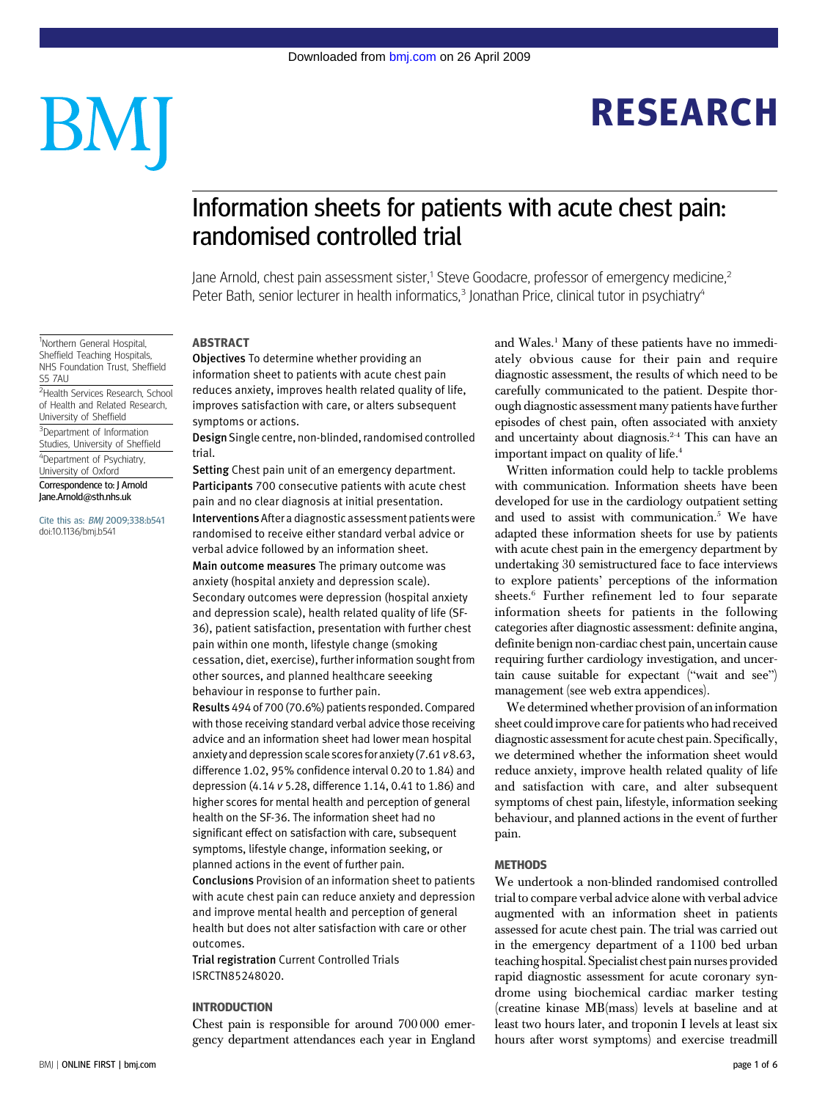# BM

## RESEARCH

### Information sheets for patients with acute chest pain: randomised controlled trial

Jane Arnold, chest pain assessment sister,<sup>1</sup> Steve Goodacre, professor of emergency medicine,<sup>2</sup> Peter Bath, senior lecturer in health informatics, $3$  Jonathan Price, clinical tutor in psychiatry<sup>4</sup>

#### **ABSTRACT**

Objectives To determine whether providing an information sheet to patients with acute chest pain reduces anxiety, improves health related quality of life, improves satisfaction with care, or alters subsequent symptoms or actions.

Design Single centre, non-blinded, randomised controlled trial.

Setting Chest pain unit of an emergency department. Participants 700 consecutive patients with acute chest pain and no clear diagnosis at initial presentation. InterventionsAfter a diagnostic assessment patients were randomised to receive either standard verbal advice or verbal advice followed by an information sheet.

Main outcome measures The primary outcome was anxiety (hospital anxiety and depression scale). Secondary outcomes were depression (hospital anxiety and depression scale), health related quality of life (SF-36), patient satisfaction, presentation with further chest pain within one month, lifestyle change (smoking cessation, diet, exercise), further information sought from other sources, and planned healthcare seeeking behaviour in response to further pain.

Results 494 of 700 (70.6%) patients responded. Compared with those receiving standard verbal advice those receiving advice and an information sheet had lower mean hospital anxiety and depression scale scores for anxiety (7.61  $v$ 8.63, difference 1.02, 95% confidence interval 0.20 to 1.84) and depression (4.14 v 5.28, difference 1.14, 0.41 to 1.86) and higher scores for mental health and perception of general health on the SF-36. The information sheet had no significant effect on satisfaction with care, subsequent symptoms, lifestyle change, information seeking, or planned actions in the event of further pain.

Conclusions Provision of an information sheet to patients with acute chest pain can reduce anxiety and depression and improve mental health and perception of general health but does not alter satisfaction with care or other outcomes.

Trial registration Current Controlled Trials ISRCTN85248020.

#### INTRODUCTION

Chest pain is responsible for around 700 000 emergency department attendances each year in England and Wales.<sup>1</sup> Many of these patients have no immediately obvious cause for their pain and require diagnostic assessment, the results of which need to be carefully communicated to the patient. Despite thorough diagnostic assessment many patients have further episodes of chest pain, often associated with anxiety and uncertainty about diagnosis.2-4 This can have an important impact on quality of life.<sup>4</sup>

Written information could help to tackle problems with communication. Information sheets have been developed for use in the cardiology outpatient setting and used to assist with communication.<sup>5</sup> We have adapted these information sheets for use by patients with acute chest pain in the emergency department by undertaking 30 semistructured face to face interviews to explore patients' perceptions of the information sheets.<sup>6</sup> Further refinement led to four separate information sheets for patients in the following categories after diagnostic assessment: definite angina, definite benign non-cardiac chest pain, uncertain cause requiring further cardiology investigation, and uncertain cause suitable for expectant ("wait and see") management (see web extra appendices).

We determined whether provision of an information sheet could improve care for patients who had received diagnostic assessment for acute chest pain. Specifically, we determined whether the information sheet would reduce anxiety, improve health related quality of life and satisfaction with care, and alter subsequent symptoms of chest pain, lifestyle, information seeking behaviour, and planned actions in the event of further pain.

#### **METHODS**

We undertook a non-blinded randomised controlled trial to compare verbal advice alone with verbal advice augmented with an information sheet in patients assessed for acute chest pain. The trial was carried out in the emergency department of a 1100 bed urban teaching hospital. Specialist chest pain nurses provided rapid diagnostic assessment for acute coronary syndrome using biochemical cardiac marker testing (creatine kinase MB(mass) levels at baseline and at least two hours later, and troponin I levels at least six hours after worst symptoms) and exercise treadmill

1Northern General Hospital, Sheffield Teaching Hospitals, NHS Foundation Trust, Sheffield S5 7AU

<sup>2</sup>Health Services Research, School of Health and Related Research, University of Sheffield

<sup>3</sup>Department of Information Studies, University of Sheffield 4 Department of Psychiatry, University of Oxford

Correspondence to: J Arnold Jane.Arnold@sth.nhs.uk

Cite this as: BMJ 2009;338:b541 doi:10.1136/bmj.b541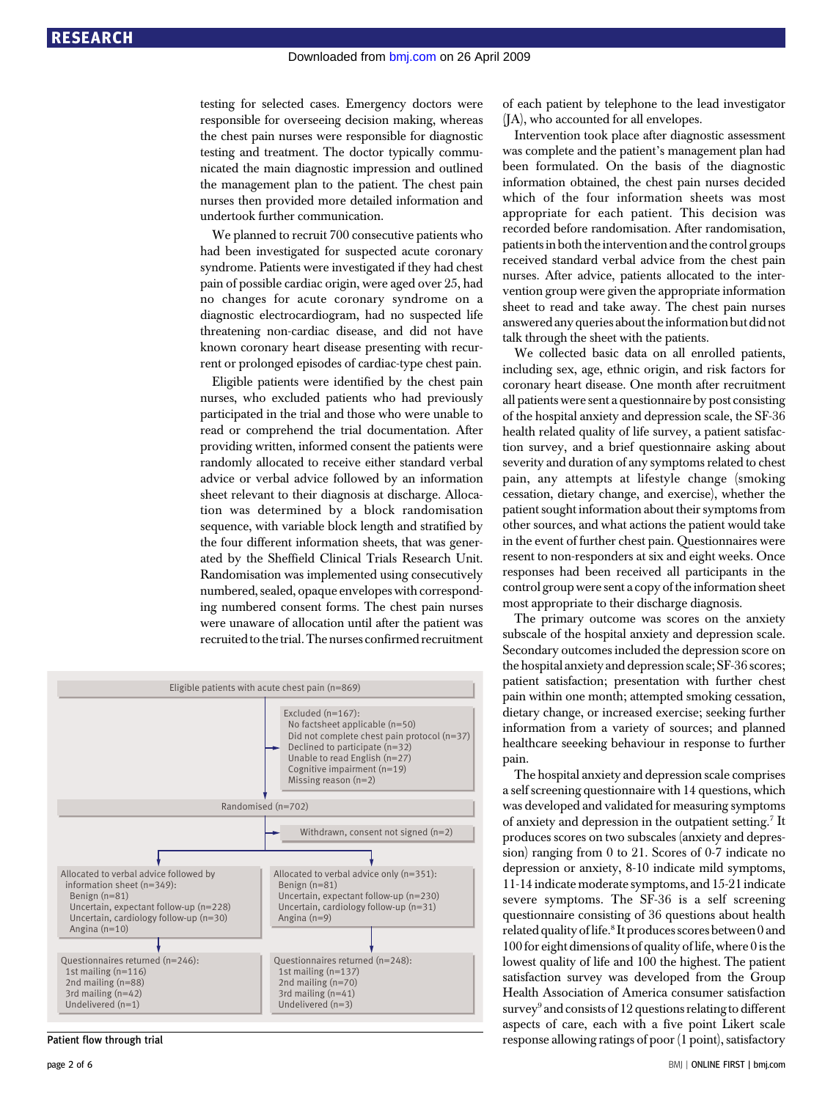testing for selected cases. Emergency doctors were responsible for overseeing decision making, whereas the chest pain nurses were responsible for diagnostic testing and treatment. The doctor typically communicated the main diagnostic impression and outlined the management plan to the patient. The chest pain nurses then provided more detailed information and undertook further communication.

We planned to recruit 700 consecutive patients who had been investigated for suspected acute coronary syndrome. Patients were investigated if they had chest pain of possible cardiac origin, were aged over 25, had no changes for acute coronary syndrome on a diagnostic electrocardiogram, had no suspected life threatening non-cardiac disease, and did not have known coronary heart disease presenting with recurrent or prolonged episodes of cardiac-type chest pain.

Eligible patients were identified by the chest pain nurses, who excluded patients who had previously participated in the trial and those who were unable to read or comprehend the trial documentation. After providing written, informed consent the patients were randomly allocated to receive either standard verbal advice or verbal advice followed by an information sheet relevant to their diagnosis at discharge. Allocation was determined by a block randomisation sequence, with variable block length and stratified by the four different information sheets, that was generated by the Sheffield Clinical Trials Research Unit. Randomisation was implemented using consecutively numbered, sealed, opaque envelopes with corresponding numbered consent forms. The chest pain nurses were unaware of allocation until after the patient was recruited to the trial. The nurses confirmed recruitment



Patient flow through trial

of each patient by telephone to the lead investigator (JA), who accounted for all envelopes.

Intervention took place after diagnostic assessment was complete and the patient's management plan had been formulated. On the basis of the diagnostic information obtained, the chest pain nurses decided which of the four information sheets was most appropriate for each patient. This decision was recorded before randomisation. After randomisation, patients in both the intervention and the control groups received standard verbal advice from the chest pain nurses. After advice, patients allocated to the intervention group were given the appropriate information sheet to read and take away. The chest pain nurses answered any queries aboutthe information but did not talk through the sheet with the patients.

We collected basic data on all enrolled patients, including sex, age, ethnic origin, and risk factors for coronary heart disease. One month after recruitment all patients were sent a questionnaire by post consisting of the hospital anxiety and depression scale, the SF-36 health related quality of life survey, a patient satisfaction survey, and a brief questionnaire asking about severity and duration of any symptoms related to chest pain, any attempts at lifestyle change (smoking cessation, dietary change, and exercise), whether the patient sought information about their symptoms from other sources, and what actions the patient would take in the event of further chest pain. Questionnaires were resent to non-responders at six and eight weeks. Once responses had been received all participants in the control group were sent a copy of the information sheet most appropriate to their discharge diagnosis.

The primary outcome was scores on the anxiety subscale of the hospital anxiety and depression scale. Secondary outcomes included the depression score on the hospital anxiety and depression scale; SF-36 scores; patient satisfaction; presentation with further chest pain within one month; attempted smoking cessation, dietary change, or increased exercise; seeking further information from a variety of sources; and planned healthcare seeeking behaviour in response to further pain.

The hospital anxiety and depression scale comprises a self screening questionnaire with 14 questions, which was developed and validated for measuring symptoms of anxiety and depression in the outpatient setting.7 It produces scores on two subscales (anxiety and depression) ranging from 0 to 21. Scores of 0-7 indicate no depression or anxiety, 8-10 indicate mild symptoms, 11-14 indicate moderate symptoms, and 15-21 indicate severe symptoms. The SF-36 is a self screening questionnaire consisting of 36 questions about health related quality of life.8 It produces scores between 0 and 100 for eight dimensions of quality of life, where 0 is the lowest quality of life and 100 the highest. The patient satisfaction survey was developed from the Group Health Association of America consumer satisfaction survey<sup>9</sup> and consists of 12 questions relating to different aspects of care, each with a five point Likert scale response allowing ratings of poor (1 point), satisfactory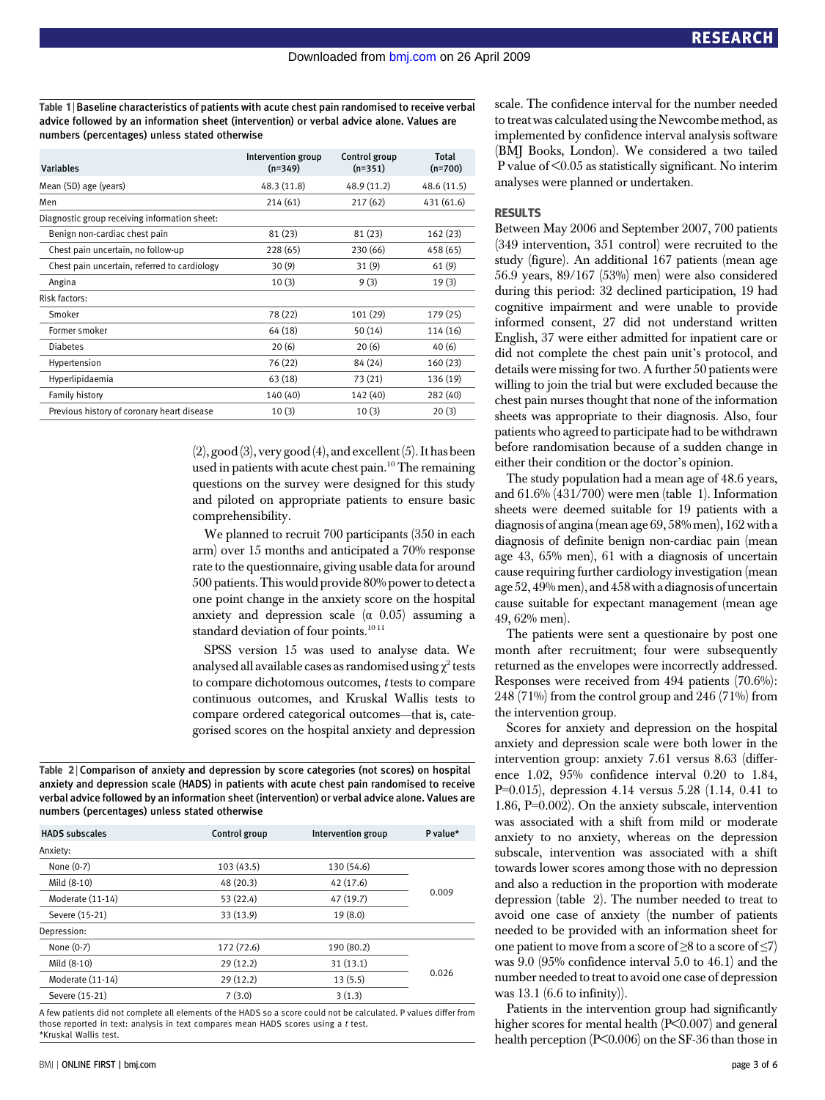Table 1 <sup>|</sup> Baseline characteristics of patients with acute chest pain randomised to receive verbal advice followed by an information sheet (intervention) or verbal advice alone. Values are numbers (percentages) unless stated otherwise

| <b>Variables</b>                              | Intervention group<br>$(n=349)$ | Control group<br>$(n=351)$ | <b>Total</b><br>$(n=700)$ |
|-----------------------------------------------|---------------------------------|----------------------------|---------------------------|
| Mean (SD) age (years)                         | 48.3 (11.8)                     | 48.9 (11.2)                | 48.6 (11.5)               |
| Men                                           | 214(61)                         | 217(62)                    | 431 (61.6)                |
| Diagnostic group receiving information sheet: |                                 |                            |                           |
| Benign non-cardiac chest pain                 | 81 (23)                         | 81 (23)                    | 162(23)                   |
| Chest pain uncertain, no follow-up            | 228 (65)                        | 230 (66)                   | 458 (65)                  |
| Chest pain uncertain, referred to cardiology  | 30(9)                           | 31(9)                      | 61 (9)                    |
| Angina                                        | 10(3)                           | 9(3)                       | 19(3)                     |
| Risk factors:                                 |                                 |                            |                           |
| Smoker                                        | 78 (22)                         | 101 (29)                   | 179 (25)                  |
| Former smoker                                 | 64 (18)                         | 50 (14)                    | 114 (16)                  |
| <b>Diabetes</b>                               | 20(6)                           | 20(6)                      | 40(6)                     |
| Hypertension                                  | 76 (22)                         | 84 (24)                    | 160(23)                   |
| Hyperlipidaemia                               | 63 (18)                         | 73 (21)                    | 136 (19)                  |
| Family history                                | 140 (40)                        | 142 (40)                   | 282 (40)                  |
| Previous history of coronary heart disease    | 10(3)                           | 10(3)                      | 20(3)                     |

 $(2)$ ,  $\gcd(3)$ , very  $\gcd(4)$ , and  $\operatorname{excellent}(5)$ . It has been used in patients with acute chest pain.<sup>10</sup> The remaining questions on the survey were designed for this study and piloted on appropriate patients to ensure basic comprehensibility.

We planned to recruit 700 participants (350 in each arm) over 15 months and anticipated a 70% response rate to the questionnaire, giving usable data for around 500 patients. This would provide 80% power to detect a one point change in the anxiety score on the hospital anxiety and depression scale  $(\alpha \ 0.05)$  assuming a standard deviation of four points.<sup>10 11</sup>

SPSS version 15 was used to analyse data. We analysed all available cases as randomised using  $\chi^2$  tests to compare dichotomous outcomes, t tests to compare continuous outcomes, and Kruskal Wallis tests to compare ordered categorical outcomes—that is, categorised scores on the hospital anxiety and depression

Table 2 <sup>|</sup> Comparison of anxiety and depression by score categories (not scores) on hospital anxiety and depression scale (HADS) in patients with acute chest pain randomised to receive verbal advice followed by an information sheet (intervention) or verbal advice alone. Values are numbers (percentages) unless stated otherwise

| <b>HADS</b> subscales | Control group | Intervention group | P value* |
|-----------------------|---------------|--------------------|----------|
| Anxiety:              |               |                    |          |
| None (0-7)            | 103 (43.5)    | 130 (54.6)         |          |
| Mild (8-10)           | 48 (20.3)     | 42 (17.6)          |          |
| Moderate (11-14)      | 53 (22.4)     | 0.009<br>47 (19.7) |          |
| Severe (15-21)        | 33(13.9)      | 19(8.0)            |          |
| Depression:           |               |                    |          |
| None (0-7)            | 172 (72.6)    | 190 (80.2)         |          |
| Mild (8-10)           | 29(12.2)      | 31(13.1)           |          |
| Moderate (11-14)      | 29(12.2)      | 13(5.5)            | 0.026    |
| Severe (15-21)        | 7(3.0)        | 3(1.3)             |          |
|                       |               |                    |          |

A few patients did not complete all elements of the HADS so a score could not be calculated. P values differ from those reported in text: analysis in text compares mean HADS scores using a t test. \*Kruskal Wallis test.

scale. The confidence interval for the number needed to treat was calculated using the Newcombe method, as implemented by confidence interval analysis software (BMJ Books, London). We considered a two tailed P value of <0.05 as statistically significant. No interim analyses were planned or undertaken.

#### RESULTS

Between May 2006 and September 2007, 700 patients (349 intervention, 351 control) were recruited to the study (figure). An additional 167 patients (mean age 56.9 years, 89/167 (53%) men) were also considered during this period: 32 declined participation, 19 had cognitive impairment and were unable to provide informed consent, 27 did not understand written English, 37 were either admitted for inpatient care or did not complete the chest pain unit's protocol, and details were missing for two. A further 50 patients were willing to join the trial but were excluded because the chest pain nurses thought that none of the information sheets was appropriate to their diagnosis. Also, four patients who agreed to participate had to be withdrawn before randomisation because of a sudden change in either their condition or the doctor's opinion.

The study population had a mean age of 48.6 years, and 61.6% (431/700) were men (table 1). Information sheets were deemed suitable for 19 patients with a diagnosis of angina(mean age 69, 58% men), 162 with a diagnosis of definite benign non-cardiac pain (mean age 43, 65% men), 61 with a diagnosis of uncertain cause requiring further cardiology investigation (mean age 52, 49% men), and 458 with a diagnosis of uncertain cause suitable for expectant management (mean age 49, 62% men).

The patients were sent a questionaire by post one month after recruitment; four were subsequently returned as the envelopes were incorrectly addressed. Responses were received from 494 patients (70.6%): 248 (71%) from the control group and 246 (71%) from the intervention group.

Scores for anxiety and depression on the hospital anxiety and depression scale were both lower in the intervention group: anxiety 7.61 versus 8.63 (difference 1.02, 95% confidence interval 0.20 to 1.84, P=0.015), depression 4.14 versus 5.28 (1.14, 0.41 to 1.86, P=0.002). On the anxiety subscale, intervention was associated with a shift from mild or moderate anxiety to no anxiety, whereas on the depression subscale, intervention was associated with a shift towards lower scores among those with no depression and also a reduction in the proportion with moderate depression (table 2). The number needed to treat to avoid one case of anxiety (the number of patients needed to be provided with an information sheet for one patient to move from a score of  $\geq 8$  to a score of  $\leq 7$ ) was 9.0 (95% confidence interval 5.0 to 46.1) and the number needed to treat to avoid one case of depression was 13.1 (6.6 to infinity)).

Patients in the intervention group had significantly higher scores for mental health (P<0.007) and general health perception (P<0.006) on the SF-36 than those in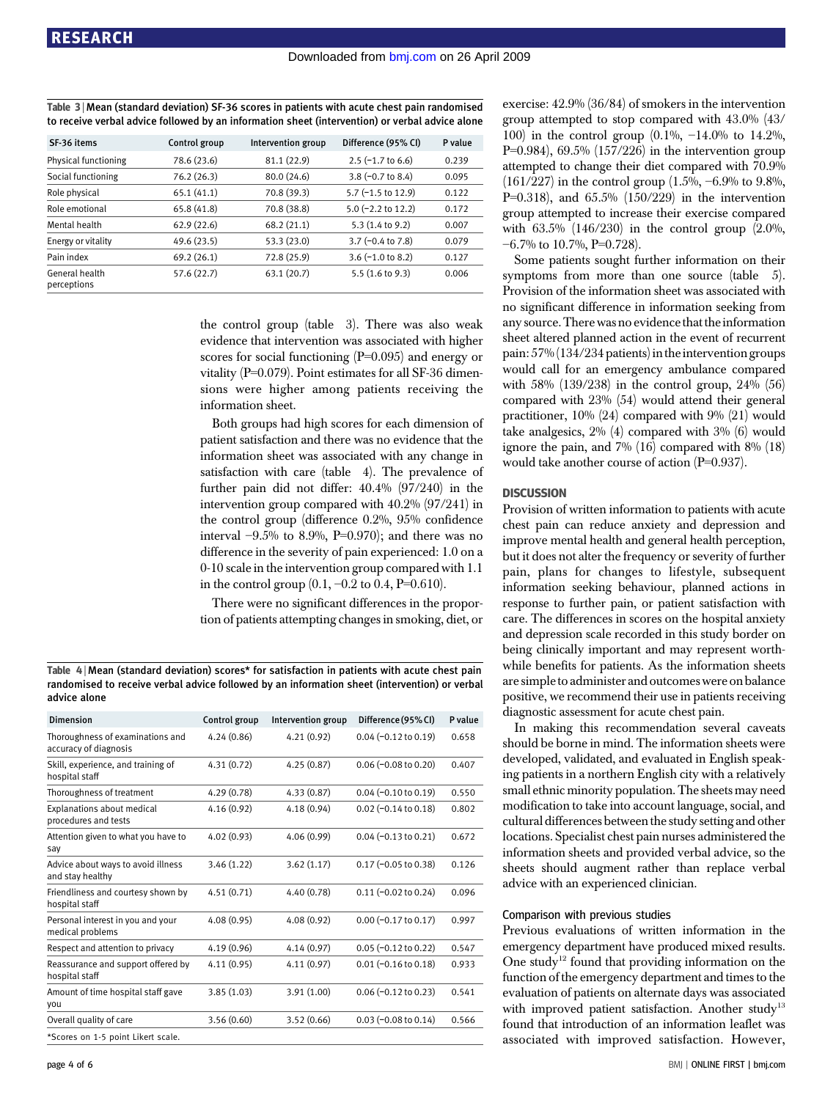Table 3 | Mean (standard deviation) SF-36 scores in patients with acute chest pain randomised to receive verbal advice followed by an information sheet (intervention) or verbal advice alone

| SF-36 items                   | Control group | Intervention group | Difference (95% CI)         | P value |
|-------------------------------|---------------|--------------------|-----------------------------|---------|
| Physical functioning          | 78.6 (23.6)   | 81.1 (22.9)        | $2.5$ (-1.7 to 6.6)         | 0.239   |
| Social functioning            | 76.2 (26.3)   | 80.0 (24.6)        | $3.8(-0.7 \text{ to } 8.4)$ | 0.095   |
| Role physical                 | 65.1(41.1)    | 70.8 (39.3)        | $5.7$ (-1.5 to 12.9)        | 0.122   |
| Role emotional                | 65.8 (41.8)   | 70.8 (38.8)        | $5.0$ (-2.2 to 12.2)        | 0.172   |
| Mental health                 | 62.9(22.6)    | 68.2(21.1)         | $5.3(1.4 \text{ to } 9.2)$  | 0.007   |
| Energy or vitality            | 49.6 (23.5)   | 53.3 (23.0)        | $3.7$ (-0.4 to 7.8)         | 0.079   |
| Pain index                    | 69.2(26.1)    | 72.8 (25.9)        | $3.6$ (-1.0 to 8.2)         | 0.127   |
| General health<br>perceptions | 57.6 (22.7)   | 63.1(20.7)         | $5.5(1.6 \text{ to } 9.3)$  | 0.006   |

the control group (table 3). There was also weak evidence that intervention was associated with higher scores for social functioning (P=0.095) and energy or vitality (P=0.079). Point estimates for all SF-36 dimensions were higher among patients receiving the information sheet.

Both groups had high scores for each dimension of patient satisfaction and there was no evidence that the information sheet was associated with any change in satisfaction with care (table 4). The prevalence of further pain did not differ: 40.4% (97/240) in the intervention group compared with 40.2% (97/241) in the control group (difference 0.2%, 95% confidence interval  $-9.5%$  to 8.9%, P=0.970); and there was no difference in the severity of pain experienced: 1.0 on a 0-10 scale in the intervention group compared with 1.1 in the control group  $(0.1, -0.2$  to  $0.4, P=0.610)$ .

There were no significant differences in the proportion of patients attempting changes in smoking, diet, or

Table 4 | Mean (standard deviation) scores\* for satisfaction in patients with acute chest pain randomised to receive verbal advice followed by an information sheet (intervention) or verbal advice alone

| <b>Dimension</b>                                          | Control group | Intervention group | Difference (95% CI)    | P value |
|-----------------------------------------------------------|---------------|--------------------|------------------------|---------|
| Thoroughness of examinations and<br>accuracy of diagnosis | 4.24(0.86)    | 4.21(0.92)         | $0.04 (-0.12 to 0.19)$ | 0.658   |
| Skill, experience, and training of<br>hospital staff      | 4.31(0.72)    | 4.25(0.87)         | $0.06$ (-0.08 to 0.20) | 0.407   |
| Thoroughness of treatment                                 | 4.29 (0.78)   | 4.33(0.87)         | $0.04 (-0.10 to 0.19)$ | 0.550   |
| Explanations about medical<br>procedures and tests        | 4.16 (0.92)   | 4.18(0.94)         | $0.02$ (-0.14 to 0.18) | 0.802   |
| Attention given to what you have to<br>say                | 4.02(0.93)    | 4.06(0.99)         | $0.04 (-0.13 to 0.21)$ | 0.672   |
| Advice about ways to avoid illness<br>and stay healthy    | 3.46 (1.22)   | 3.62(1.17)         | $0.17$ (-0.05 to 0.38) | 0.126   |
| Friendliness and courtesy shown by<br>hospital staff      | 4.51(0.71)    | 4.40(0.78)         | $0.11 (-0.02 to 0.24)$ | 0.096   |
| Personal interest in you and your<br>medical problems     | 4.08(0.95)    | 4.08(0.92)         | $0.00 (-0.17 to 0.17)$ | 0.997   |
| Respect and attention to privacy                          | 4.19(0.96)    | 4.14(0.97)         | $0.05$ (-0.12 to 0.22) | 0.547   |
| Reassurance and support offered by<br>hospital staff      | 4.11(0.95)    | 4.11 (0.97)        | $0.01 (-0.16 to 0.18)$ | 0.933   |
| Amount of time hospital staff gave<br>you                 | 3.85(1.03)    | 3.91 (1.00)        | $0.06$ (-0.12 to 0.23) | 0.541   |
| Overall quality of care                                   | 3.56(0.60)    | 3.52(0.66)         | $0.03$ (-0.08 to 0.14) | 0.566   |
| *Scores on 1-5 point Likert scale.                        |               |                    |                        |         |

exercise: 42.9% (36/84) of smokers in the intervention group attempted to stop compared with 43.0% (43/ 100) in the control group (0.1%, −14.0% to 14.2%, P=0.984), 69.5% (157/226) in the intervention group attempted to change their diet compared with 70.9% (161/227) in the control group (1.5%, −6.9% to 9.8%, P=0.318), and  $65.5\%$  (150/229) in the intervention group attempted to increase their exercise compared with  $63.5\%$  (146/230) in the control group  $(2.0\%$ , −6.7% to 10.7%, P=0.728).

Some patients sought further information on their symptoms from more than one source (table 5). Provision of the information sheet was associated with no significant difference in information seeking from any source. There was no evidencethatthe information sheet altered planned action in the event of recurrent pain:  $57\%$  (134/234 patients) in the intervention groups would call for an emergency ambulance compared with 58% (139/238) in the control group, 24% (56) compared with 23% (54) would attend their general practitioner, 10% (24) compared with 9% (21) would take analgesics, 2% (4) compared with 3% (6) would ignore the pain, and  $7\%$  (16) compared with  $8\%$  (18) would take another course of action (P=0.937).

#### **DISCUSSION**

Provision of written information to patients with acute chest pain can reduce anxiety and depression and improve mental health and general health perception, but it does not alter the frequency or severity of further pain, plans for changes to lifestyle, subsequent information seeking behaviour, planned actions in response to further pain, or patient satisfaction with care. The differences in scores on the hospital anxiety and depression scale recorded in this study border on being clinically important and may represent worthwhile benefits for patients. As the information sheets are simpleto administer and outcomes were on balance positive, we recommend their use in patients receiving diagnostic assessment for acute chest pain.

In making this recommendation several caveats should be borne in mind. The information sheets were developed, validated, and evaluated in English speaking patients in a northern English city with a relatively small ethnic minority population. The sheets may need modification to take into account language, social, and cultural differences between the study setting and other locations. Specialist chest pain nurses administered the information sheets and provided verbal advice, so the sheets should augment rather than replace verbal advice with an experienced clinician.

#### Comparison with previous studies

Previous evaluations of written information in the emergency department have produced mixed results. One study<sup>12</sup> found that providing information on the function of the emergency department and times to the evaluation of patients on alternate days was associated with improved patient satisfaction. Another study<sup>13</sup> found that introduction of an information leaflet was associated with improved satisfaction. However,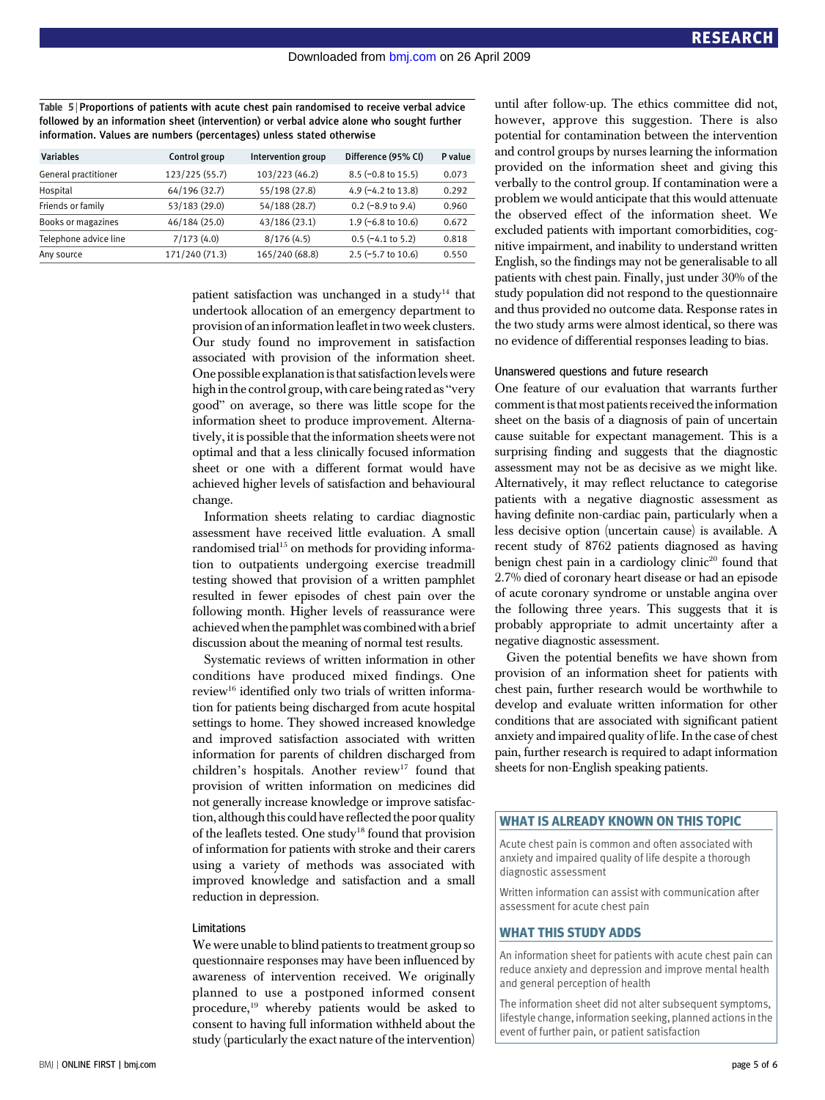Table 5 <sup>|</sup> Proportions of patients with acute chest pain randomised to receive verbal advice followed by an information sheet (intervention) or verbal advice alone who sought further information. Values are numbers (percentages) unless stated otherwise

| <b>Variables</b>      | Control group  | Intervention group | Difference (95% CI)  | P value |
|-----------------------|----------------|--------------------|----------------------|---------|
| General practitioner  | 123/225 (55.7) | 103/223 (46.2)     | 8.5 (-0.8 to 15.5)   | 0.073   |
| Hospital              | 64/196 (32.7)  | 55/198 (27.8)      | 4.9 $(-4.2$ to 13.8) | 0.292   |
| Friends or family     | 53/183 (29.0)  | 54/188 (28.7)      | $0.2$ (-8.9 to 9.4)  | 0.960   |
| Books or magazines    | 46/184 (25.0)  | 43/186 (23.1)      | $1.9$ (-6.8 to 10.6) | 0.672   |
| Telephone advice line | 7/173(4.0)     | 8/176(4.5)         | $0.5$ (-4.1 to 5.2)  | 0.818   |
| Any source            | 171/240 (71.3) | 165/240 (68.8)     | $2.5$ (-5.7 to 10.6) | 0.550   |

patient satisfaction was unchanged in a study<sup>14</sup> that undertook allocation of an emergency department to provision of an information leaflet in two week clusters. Our study found no improvement in satisfaction associated with provision of the information sheet. One possible explanation isthat satisfactionlevels were high in the control group, with care being rated as "very good" on average, so there was little scope for the information sheet to produce improvement. Alternatively, it is possible that the information sheets were not optimal and that a less clinically focused information sheet or one with a different format would have achieved higher levels of satisfaction and behavioural change.

Information sheets relating to cardiac diagnostic assessment have received little evaluation. A small randomised trial<sup>15</sup> on methods for providing information to outpatients undergoing exercise treadmill testing showed that provision of a written pamphlet resulted in fewer episodes of chest pain over the following month. Higher levels of reassurance were achieved whenthe pamphlet was combined with a brief discussion about the meaning of normal test results.

Systematic reviews of written information in other conditions have produced mixed findings. One review<sup>16</sup> identified only two trials of written information for patients being discharged from acute hospital settings to home. They showed increased knowledge and improved satisfaction associated with written information for parents of children discharged from children's hospitals. Another  $review^{17}$  found that provision of written information on medicines did not generally increase knowledge or improve satisfaction, although this could have reflected the poor quality of the leaflets tested. One study<sup>18</sup> found that provision of information for patients with stroke and their carers using a variety of methods was associated with improved knowledge and satisfaction and a small reduction in depression.

#### Limitations

We were unable to blind patients to treatment group so questionnaire responses may have been influenced by awareness of intervention received. We originally planned to use a postponed informed consent procedure,<sup>19</sup> whereby patients would be asked to consent to having full information withheld about the study (particularly the exact nature of the intervention) until after follow-up. The ethics committee did not, however, approve this suggestion. There is also potential for contamination between the intervention and control groups by nurses learning the information provided on the information sheet and giving this verbally to the control group. If contamination were a problem we would anticipate that this would attenuate the observed effect of the information sheet. We excluded patients with important comorbidities, cognitive impairment, and inability to understand written English, so the findings may not be generalisable to all patients with chest pain. Finally, just under 30% of the study population did not respond to the questionnaire and thus provided no outcome data. Response rates in the two study arms were almost identical, so there was no evidence of differential responses leading to bias.

#### Unanswered questions and future research

One feature of our evaluation that warrants further comment is that most patients received the information sheet on the basis of a diagnosis of pain of uncertain cause suitable for expectant management. This is a surprising finding and suggests that the diagnostic assessment may not be as decisive as we might like. Alternatively, it may reflect reluctance to categorise patients with a negative diagnostic assessment as having definite non-cardiac pain, particularly when a less decisive option (uncertain cause) is available. A recent study of 8762 patients diagnosed as having benign chest pain in a cardiology clinic<sup>20</sup> found that 2.7% died of coronary heart disease or had an episode of acute coronary syndrome or unstable angina over the following three years. This suggests that it is probably appropriate to admit uncertainty after a negative diagnostic assessment.

Given the potential benefits we have shown from provision of an information sheet for patients with chest pain, further research would be worthwhile to develop and evaluate written information for other conditions that are associated with significant patient anxiety and impaired quality of life. In the case of chest pain, further research is required to adapt information sheets for non-English speaking patients.

#### WHAT IS ALREADY KNOWN ON THIS TOPIC

Acute chest pain is common and often associated with anxiety and impaired quality of life despite a thorough diagnostic assessment

Written information can assist with communication after assessment for acute chest pain

#### WHAT THIS STUDY ADDS

An information sheet for patients with acute chest pain can reduce anxiety and depression and improve mental health and general perception of health

The information sheet did not alter subsequent symptoms, lifestyle change, information seeking, planned actions in the event of further pain, or patient satisfaction